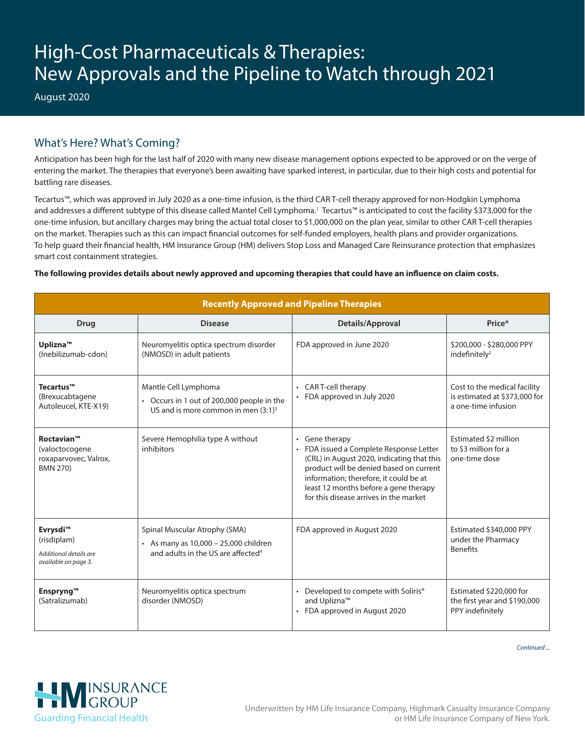# High-Cost Pharmaceuticals & Therapies: New Approvals and the Pipeline to Watch through 2021

August 2020

# What's Here? What's Coming?

Anticipation has been high for the last half of 2020 with many new disease management options expected to be approved or on the verge of entering the market. The therapies that everyone's been awaiting have sparked interest, in particular, due to their high costs and potential for battling rare diseases.

Tecartus™, which was approved in July 2020 as a one-time infusion, is the third CAR T-cell therapy approved for non-Hodgkin Lymphoma and addresses a different subtype of this disease called Mantel Cell Lymphoma.1 Tecartus™ is anticipated to cost the facility \$373,000 for the one-time infusion, but ancillary charges may bring the actual total closer to \$1,000,000 on the plan year, similar to other CAR T-cell therapies on the market. Therapies such as this can impact financial outcomes for self-funded employers, health plans and provider organizations. To help guard their financial health, HM Insurance Group (HM) delivers Stop Loss and Managed Care Reinsurance protection that emphasizes smart cost containment strategies.

## **The following provides details about newly approved and upcoming therapies that could have an influence on claim costs.**

| <b>Recently Approved and Pipeline Therapies</b>                                 |                                                                                                                          |                                                                                                                                                                                                                                                                               |                                                                                      |  |
|---------------------------------------------------------------------------------|--------------------------------------------------------------------------------------------------------------------------|-------------------------------------------------------------------------------------------------------------------------------------------------------------------------------------------------------------------------------------------------------------------------------|--------------------------------------------------------------------------------------|--|
| <b>Drug</b>                                                                     | <b>Disease</b>                                                                                                           | Details/Approval                                                                                                                                                                                                                                                              | Price*                                                                               |  |
| Uplizna <sup>™</sup><br>(Inebilizumab-cdon)                                     | Neuromyelitis optica spectrum disorder<br>(NMOSD) in adult patients                                                      | FDA approved in June 2020                                                                                                                                                                                                                                                     | \$200,000 - \$280,000 PPY<br>indefinitely <sup>2</sup>                               |  |
| Tecartus <sup>™</sup><br>(Brexucabtagene<br>Autoleucel, KTE-X19)                | Mantle Cell Lymphoma<br>• Occurs in 1 out of 200,000 people in the<br>US and is more common in men $(3:1)^3$             | CAR T-cell therapy<br>• FDA approved in July 2020                                                                                                                                                                                                                             | Cost to the medical facility<br>is estimated at \$373,000 for<br>a one-time infusion |  |
| <b>Roctavian™</b><br>(valoctocogene<br>roxaparvovec, Valrox,<br><b>BMN 270)</b> | Severe Hemophilia type A without<br>inhibitors                                                                           | • Gene therapy<br>FDA issued a Complete Response Letter<br>(CRL) in August 2020, indicating that this<br>product will be denied based on current<br>information; therefore, it could be at<br>least 12 months before a gene therapy<br>for this disease arrives in the market | <b>Estimated \$2 million</b><br>to \$3 million for a<br>one-time dose                |  |
| Evrysdi™<br>(risdiplam)<br>Additional details are<br>available on page 3.       | Spinal Muscular Atrophy (SMA)<br>• As many as 10,000 - 25,000 children<br>and adults in the US are affected <sup>4</sup> | FDA approved in August 2020                                                                                                                                                                                                                                                   | Estimated \$340,000 PPY<br>under the Pharmacy<br><b>Benefits</b>                     |  |
| Enspryng™<br>(Satralizumab)                                                     | Neuromyelitis optica spectrum<br>disorder (NMOSD)                                                                        | Developed to compete with Soliris®<br>$\bullet$<br>and Uplizna <sup>™</sup><br>• FDA approved in August 2020                                                                                                                                                                  | Estimated \$220,000 for<br>the first year and \$190,000<br>PPY indefinitely          |  |

*Continued ...*

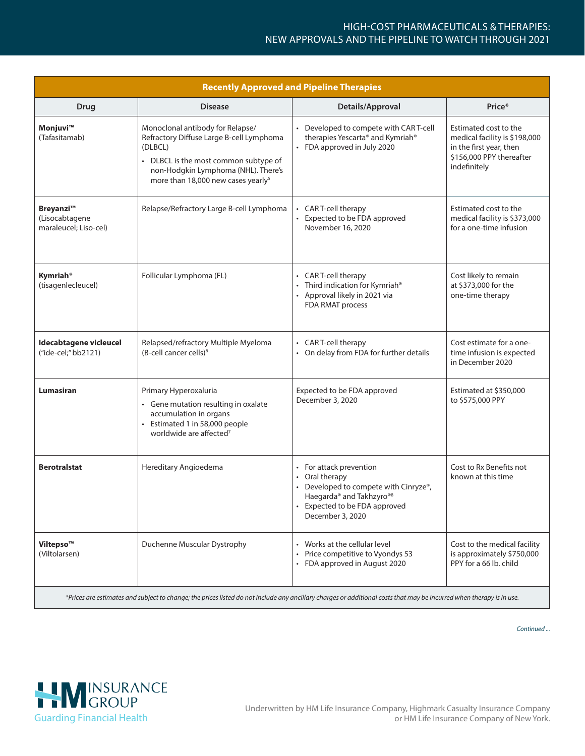## HIGH-COST PHARMACEUTICALS & THERAPIES: NEW APPROVALS AND THE PIPELINE TO WATCH THROUGH 2021

| <b>Recently Approved and Pipeline Therapies</b>      |                                                                                                                                                                                                                           |                                                                                                                                                                                           |                                                                                                                               |  |
|------------------------------------------------------|---------------------------------------------------------------------------------------------------------------------------------------------------------------------------------------------------------------------------|-------------------------------------------------------------------------------------------------------------------------------------------------------------------------------------------|-------------------------------------------------------------------------------------------------------------------------------|--|
| <b>Drug</b>                                          | <b>Disease</b>                                                                                                                                                                                                            | Details/Approval                                                                                                                                                                          | Price*                                                                                                                        |  |
| Monjuvi™<br>(Tafasitamab)                            | Monoclonal antibody for Relapse/<br>Refractory Diffuse Large B-cell Lymphoma<br>(DLBCL)<br>• DLBCL is the most common subtype of<br>non-Hodgkin Lymphoma (NHL). There's<br>more than 18,000 new cases yearly <sup>5</sup> | • Developed to compete with CART-cell<br>therapies Yescarta® and Kymriah®<br>• FDA approved in July 2020                                                                                  | Estimated cost to the<br>medical facility is \$198,000<br>in the first year, then<br>\$156,000 PPY thereafter<br>indefinitely |  |
| Breyanzi™<br>(Lisocabtagene<br>maraleucel; Liso-cel) | Relapse/Refractory Large B-cell Lymphoma                                                                                                                                                                                  | • CAR T-cell therapy<br>Expected to be FDA approved<br>November 16, 2020                                                                                                                  | Estimated cost to the<br>medical facility is \$373,000<br>for a one-time infusion                                             |  |
| <b>Kymriah</b> <sup>®</sup><br>(tisagenlecleucel)    | Follicular Lymphoma (FL)                                                                                                                                                                                                  | • CAR T-cell therapy<br>• Third indication for Kymriah®<br>• Approval likely in 2021 via<br>FDA RMAT process                                                                              | Cost likely to remain<br>at \$373,000 for the<br>one-time therapy                                                             |  |
| Idecabtagene vicleucel<br>("ide-cel;" bb2121)        | Relapsed/refractory Multiple Myeloma<br>(B-cell cancer cells) <sup>6</sup>                                                                                                                                                | • CAR T-cell therapy<br>• On delay from FDA for further details                                                                                                                           | Cost estimate for a one-<br>time infusion is expected<br>in December 2020                                                     |  |
| Lumasiran                                            | Primary Hyperoxaluria<br>• Gene mutation resulting in oxalate<br>accumulation in organs<br>Estimated 1 in 58,000 people<br>worldwide are affected <sup>7</sup>                                                            | Expected to be FDA approved<br>December 3, 2020                                                                                                                                           | Estimated at \$350,000<br>to \$575,000 PPY                                                                                    |  |
| <b>Berotralstat</b>                                  | Hereditary Angioedema                                                                                                                                                                                                     | • For attack prevention<br>• Oral therapy<br>Developed to compete with Cinryze®,<br>Haegarda <sup>®</sup> and Takhzyro <sup>®8</sup><br>• Expected to be FDA approved<br>December 3, 2020 | Cost to Rx Benefits not<br>known at this time                                                                                 |  |
| Viltepso™<br>(Viltolarsen)                           | Duchenne Muscular Dystrophy                                                                                                                                                                                               | Works at the cellular level<br>Price competitive to Vyondys 53<br>• FDA approved in August 2020                                                                                           | Cost to the medical facility<br>is approximately \$750,000<br>PPY for a 66 lb. child                                          |  |

*\*Prices are estimates and subject to change; the prices listed do not include any ancillary charges or additional costs that may be incurred when therapy is in use.*

*Continued ...*



Underwritten by HM Life Insurance Company, Highmark Casualty Insurance Company or HM Life Insurance Company of New York.